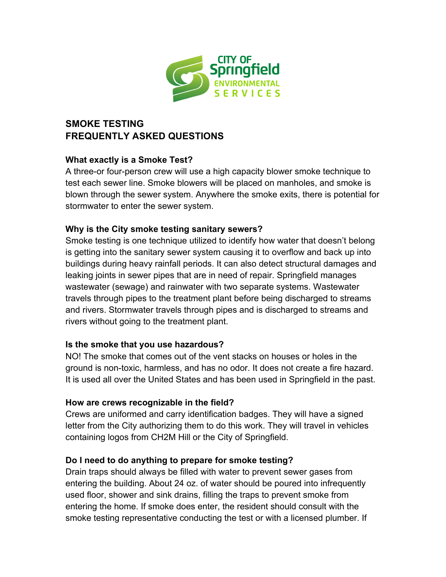

# **SMOKE TESTING FREQUENTLY ASKED QUESTIONS**

## **What exactly is a Smoke Test?**

A three-or four-person crew will use a high capacity blower smoke technique to test each sewer line. Smoke blowers will be placed on manholes, and smoke is blown through the sewer system. Anywhere the smoke exits, there is potential for stormwater to enter the sewer system.

### **Why is the City smoke testing sanitary sewers?**

Smoke testing is one technique utilized to identify how water that doesn't belong is getting into the sanitary sewer system causing it to overflow and back up into buildings during heavy rainfall periods. It can also detect structural damages and leaking joints in sewer pipes that are in need of repair. Springfield manages wastewater (sewage) and rainwater with two separate systems. Wastewater travels through pipes to the treatment plant before being discharged to streams and rivers. Stormwater travels through pipes and is discharged to streams and rivers without going to the treatment plant.

## **Is the smoke that you use hazardous?**

NO! The smoke that comes out of the vent stacks on houses or holes in the ground is non-toxic, harmless, and has no odor. It does not create a fire hazard. It is used all over the United States and has been used in Springfield in the past.

## **How are crews recognizable in the field?**

Crews are uniformed and carry identification badges. They will have a signed letter from the City authorizing them to do this work. They will travel in vehicles containing logos from CH2M Hill or the City of Springfield.

## **Do I need to do anything to prepare for smoke testing?**

Drain traps should always be filled with water to prevent sewer gases from entering the building. About 24 oz. of water should be poured into infrequently used floor, shower and sink drains, filling the traps to prevent smoke from entering the home. If smoke does enter, the resident should consult with the smoke testing representative conducting the test or with a licensed plumber. If